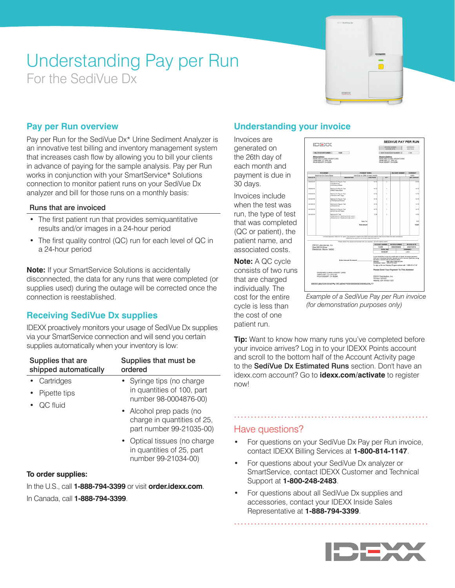# Understanding Pay per Run For the SediVue Dx



# **Pay per Run overview**

Pay per Run for the SediVue Dx\* Urine Sediment Analyzer is an innovative test billing and inventory management system that increases cash flow by allowing you to bill your clients in advance of paying for the sample analysis. Pay per Run works in conjunction with your SmartService\* Solutions connection to monitor patient runs on your SediVue Dx analyzer and bill for those runs on a monthly basis:

#### Runs that are invoiced

- The first patient run that provides semiquantitative results and/or images in a 24-hour period
- The first quality control (QC) run for each level of QC in a 24-hour period

**Note:** If your SmartService Solutions is accidentally disconnected, the data for any runs that were completed (or supplies used) during the outage will be corrected once the connection is reestablished.

# **Receiving SediVue Dx supplies**

IDEXX proactively monitors your usage of SediVue Dx supplies via your SmartService connection and will send you certain supplies automatically when your inventory is low:

| Supplies that are<br>shipped automatically | Supplies that must be<br>ordered                                                   |
|--------------------------------------------|------------------------------------------------------------------------------------|
| Cartridges                                 | • Syringe tips (no charge<br>in quantities of 100, part<br>number 98-0004876-00)   |
| Pipette tips                               |                                                                                    |
| QC fluid                                   |                                                                                    |
|                                            | • Alcohol prep pads (no<br>charge in quantities of 25,<br>part number 99-21035-00) |
|                                            | • Optical tissues (no charge<br>in quantities of 25, part<br>number 99-21034-00)   |

#### **To order supplies:**

In the U.S., call **1-888-794-3399** or visit **order.idexx.com**. In Canada, call **1-888-794-3399**.

# **Understanding your invoice**

Invoices are generated on the 26th day of each month and payment is due in 30 days.

Invoices include when the test was run, the type of test that was completed (QC or patient), the patient name, and associated costs.

**Note:** A QC cycle consists of two runs that are charged individually. The cost for the entire cycle is less than the cost of one patient run.



*Example of a SediVue Pay per Run invoice (for demonstration purposes only)*

**Tip:** Want to know how many runs you've completed before your invoice arrives? Log in to your IDEXX Points account and scroll to the bottom half of the Account Activity page to the SediVue Dx Estimated Runs section. Don't have an idexx.com account? Go to **idexx.com/activate** to register now!

# Have questions?

- For questions on your SediVue Dx Pay per Run invoice, contact IDEXX Billing Services at **1-800-814-1147**.
- For questions about your SediVue Dx analyzer or SmartService, contact IDEXX Customer and Technical Support at **1-800-248-2483**.
- For questions about all SediVue Dx supplies and accessories, contact your IDEXX Inside Sales Representative at **1-888-794-3399**.